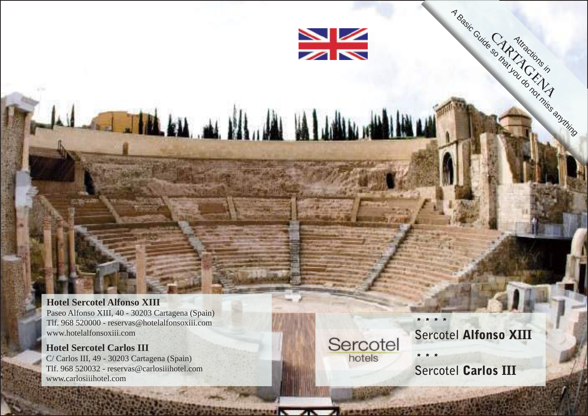

#### **Hotel Sercotel Alfonso XIII** Paseo Alfonso XIII, 40 - 30203 Cartagena (Spain) Tlf. 968 520000 - reservas@hotelalfonsoxiii.com www.hotelalfonsoxiii.com

**Hotel Sercotel Carlos III** C/ Carlos III, 49 - 30203 Cartagena (Spain) Tlf. 968 520032 - reservas@carlosiiihotel.com www.carlosiiihotel.com

Sercotel hotels

## **Sercotel** Alfonso XIII

Cartifictions in A Basic Guide so that actions is the world on this anything

\* \* \* \*

\* \* \* **Sercotel Carlos III**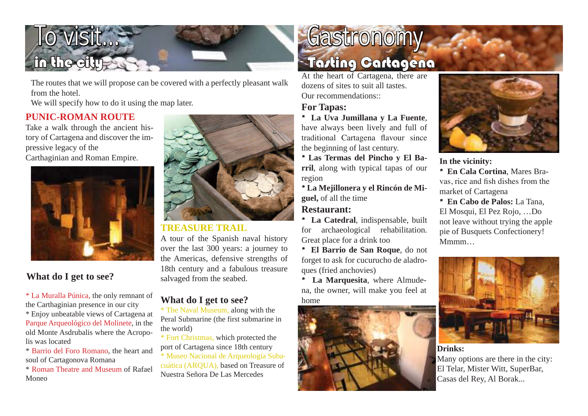# IO VISIt… n the city

The routes that we will propose can be covered with a perfectly pleasant walk from the hotel.

We will specify how to do it using the map later.

#### **PUNIC-ROMAN ROUTE**

Take a walk through the ancient history of Cartagena and discover the impressive legacy of the Carthaginian and Roman Empire.



## **What do I get to see?**

\* La Muralla Púnica, the only remnant of the Carthaginian presence in our city

\* Enjoy unbeatable views of Cartagena at Parque Arqueológico del Molinete, in the old Monte Asdrubalis where the Acropolis was located

\* Barrio del Foro Romano, the heart and soul of Cartagonova Romana

\* Roman Theatre and Museum of Rafael Moneo



## **TREASURE TRAIL**

A tour of the Spanish naval history over the last 300 years: a journey to the Americas, defensive strengths of 18th century and a fabulous treasure salvaged from the seabed.

## **What do I get to see?**

\* The Naval Museum, along with the Peral Submarine (the first submarine in the world)

\* Fort Christmas, which protected the port of Cartagena since 18th century

\* Museo Nacional de Arqueología Subacuática (ARQUA), based on Treasure of Nuestra Señora De Las Mercedes

## **Gastronomy** Tasting Cartagena

At the heart of Cartagena, there are dozens of sites to suit all tastes. Our recommendations...

## **For Tapas:**

\* **La Uva Jumillana y La Fuente**, have always been lively and full of traditional Cartagena flavour since the beginning of last century.

\* **Las Termas del Pincho y El Barril**, along with typical tapas of our region

\* **La Mejillonera y el Rincón de Miguel,** of all the time

#### **Restaurant:**

\* **La Catedral**, indispensable, built for archaeological rehabilitation. Great place for a drink too

\* **El Barrio de San Roque**, do not forget to ask for cucurucho de aladroques (fried anchovies)

\* **La Marquesita**, where Almudena, the owner, will make you feel at home





**In the vicinity:**

\* **En Cala Cortina**, Mares Bravas, rice and fish dishes from the market of Cartagena

\* **En Cabo de Palos:** La Tana, El Mosqui, El Pez Rojo, …Do not leave without trying the apple pie of Busquets Confectionery! Mmmm…



**Drinks:**

Many options are there in the city: El Telar, Mister Witt, SuperBar, Casas del Rey, Al Borak...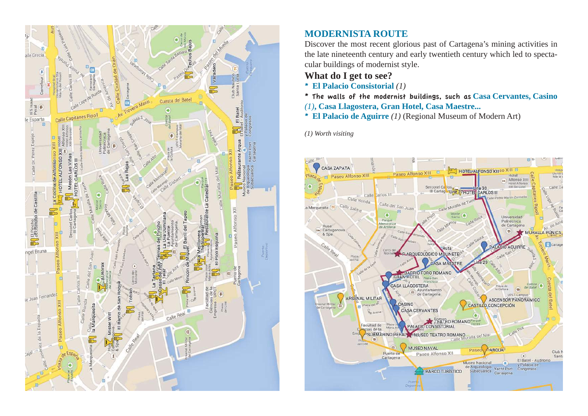

## **MODERNISTA ROUTE**

Discover the most recent glorious past of Cartagena's mining activities in the late nineteenth century and early twentieth century which led to spectacular buildings of modernist style.

#### **What do I get to see?**

- \* **El Palacio Consistorial** *(1)*
- \* The walls of the modernist buildings, such as **Casa Cervantes, Casino**  *(1)***, Casa Llagostera, Gran Hotel, Casa Maestre...**

\* **El Palacio de Aguirre** *(1)* (Regional Museum of Modern Art)

*(1) Worth visiting*